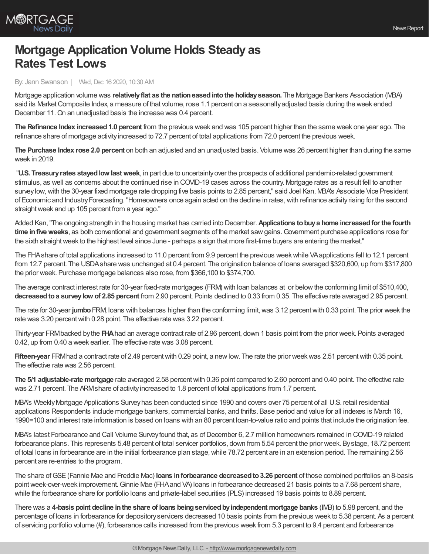

## **Mortgage Application Volume Holds Steady as Rates Test Lows**

## By: Jann Swanson | Wed, Dec 16 2020, 10:30 AM

Mortgage application volume was **relativelyflat as the nationeasedintothe holidayseason.** The Mortgage Bankers Association (MBA) said its Market Composite Index, a measure of that volume, rose 1.1 percent on a seasonally adjusted basis during the week ended December 11.On an unadjusted basis the increase was 0.4 percent.

**The Refinance Index increased1.0 percent** from the previous week and was 105 percent higher than the same week one year ago. The refinance share of mortgage activityincreased to 72.7 percent of total applications from 72.0 percent the previous week.

**The Purchase Index rose 2.0 percent** on both an adjusted and an unadjusted basis. Volume was 26 percent higher than during the same week in 2019.

"**U.S. Treasuryrates stayedlow lastweek**, in part due to uncertaintyover the prospects of additional pandemic-related government stimulus, as well as concerns about the continued rise in COVID-19 cases across the country. Mortgage rates as a result fell to another surveylow,with the 30-year fixed mortgage rate dropping five basis points to 2.85 percent," said Joel Kan, MBA's Associate Vice President of Economic and Industry Forecasting. "Homeowners once again acted on the decline in rates, with refinance activity rising for the second straight week and up 105 percent from a year ago."

Added Kan,"The ongoing strength in the housing market has carried into December.**Applications tobuya home increasedfor the fourth time in five weeks**, as both conventional and government segments of the market saw gains. Government purchase applications rose for the sixth straightweek to the highest level since June - perhaps a sign that more first-time buyers are entering the market."

The FHAshare of total applications increased to 11.0 percent from 9.9 percent the previous weekwhile VAapplications fell to 12.1 percent from 12.7 percent. The USDAshare was unchanged at 0.4 percent. The origination balance of loans averaged \$320,600, up from \$317,800 the prior week. Purchase mortgage balances also rose, from \$366,100 to \$374,700.

The average contract interest rate for 30-year fixed-rate mortgages (FRM) with loan balances at or belowthe conforming limit of \$510,400, **decreasedtoa surveylow of 2.85 percent** from 2.90 percent. Points declined to 0.33 from 0.35. The effective rate averaged 2.95 percent.

The rate for 30-year **jumbo**FRM, loans with balances higher than the conforming limit,was 3.12 percentwith 0.33 point. The prior week the rate was 3.20 percent with 0.28 point. The effective rate was 3.22 percent.

Thirty-year FRMbacked bythe **FHA**had an average contract rate of 2.96 percent, down 1 basis point from the prior week. Points averaged 0.42, up from 0.40 a week earlier. The effective rate was 3.08 percent.

**Fifteen-year** FRM had a contract rate of 2.49 percent with 0.29 point, a new low. The rate the prior week was 2.51 percent with 0.35 point. The effective rate was 2.56 percent.

**The 5/1 adjustable-rate mortgage** rate averaged 2.58 percentwith 0.36 point compared to 2.60 percent and 0.40 point. The effective rate was 2.71 percent. The ARMshare of activity increased to 1.8 percent of total applications from 1.7 percent.

MBA's WeeklyMortgage Applications Surveyhas been conducted since 1990 and covers over 75 percent of all U.S. retail residential applications Respondents include mortgage bankers, commercial banks, and thrifts. Base period and value for all indexes is March 16, 1990=100 and interest rate information is based on loans with an 80 percent loan-to-value ratio and points that include the origination fee.

MBA's latest Forbearance and Call Volume Survey found that, as of December 6, 2.7 million homeowners remained in COVID-19 related forbearance plans. This represents 5.48 percent of total servicer portfolios, down from 5.54 percent the prior week. Bystage, 18.72 percent of total loans in forbearance are in the initial forbearance plan stage,while 78.72 percent are in an extension period. The remaining 2.56 percent are re-entries to the program.

The share ofGSE(Fannie Mae and Freddie Mac) **loans inforbearance decreasedto3.26 percent** of those combined portfolios an 8-basis point week-over-week improvement. Ginnie Mae (FHA and VA) loans in forbearance decreased 21 basis points to a 7.68 percent share, while the forbearance share for portfolio loans and private-label securities (PLS) increased 19 basis points to 8.89 percent.

There was a **4-basis point decline inthe share of loans beingservicedbyindependent mortgage banks** (IMB) to 5.98 percent, and the percentage of loans in forbearance for depositoryservicers decreased 10 basis points from the previous week to 5.38 percent. As a percent of servicing portfolio volume (#), forbearance calls increased from the previous week from 5.3 percent to 9.4 percent and forbearance